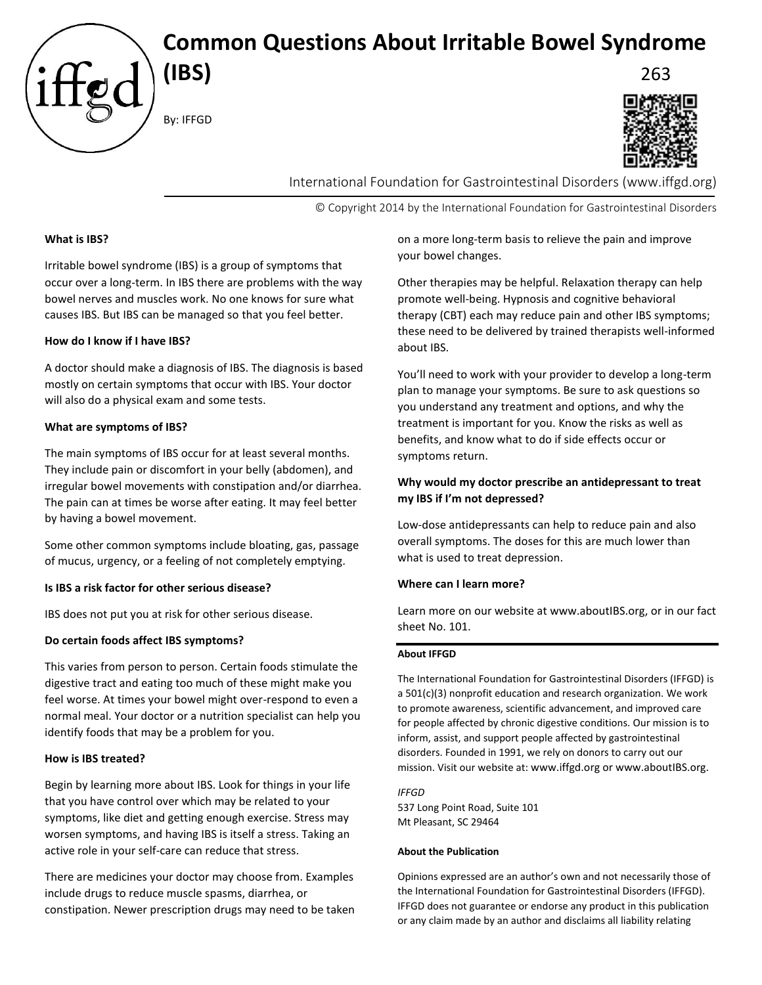# **Common Questions About Irritable Bowel Syndrome**

By: IFFGD



International Foundation for Gastrointestinal Disorders (www.iffgd.org)

© Copyright 2014 by the International Foundation for Gastrointestinal Disorders

## **What is IBS?**

Irritable bowel syndrome (IBS) is a group of symptoms that occur over a long-term. In IBS there are problems with the way bowel nerves and muscles work. No one knows for sure what causes IBS. But IBS can be managed so that you feel better.

#### **How do I know if I have IBS?**

A doctor should make a diagnosis of IBS. The diagnosis is based mostly on certain symptoms that occur with IBS. Your doctor will also do a physical exam and some tests.

## **What are symptoms of IBS?**

The main symptoms of IBS occur for at least several months. They include pain or discomfort in your belly (abdomen), and irregular bowel movements with constipation and/or diarrhea. The pain can at times be worse after eating. It may feel better by having a bowel movement.

Some other common symptoms include bloating, gas, passage of mucus, urgency, or a feeling of not completely emptying.

#### **Is IBS a risk factor for other serious disease?**

IBS does not put you at risk for other serious disease.

# **Do certain foods affect IBS symptoms?**

This varies from person to person. Certain foods stimulate the digestive tract and eating too much of these might make you feel worse. At times your bowel might over-respond to even a normal meal. Your doctor or a nutrition specialist can help you identify foods that may be a problem for you.

#### **How is IBS treated?**

Begin by learning more about IBS. Look for things in your life that you have control over which may be related to your symptoms, like diet and getting enough exercise. Stress may worsen symptoms, and having IBS is itself a stress. Taking an active role in your self-care can reduce that stress.

There are medicines your doctor may choose from. Examples include drugs to reduce muscle spasms, diarrhea, or constipation. Newer prescription drugs may need to be taken

on a more long-term basis to relieve the pain and improve your bowel changes.

Other therapies may be helpful. Relaxation therapy can help promote well-being. Hypnosis and cognitive behavioral therapy (CBT) each may reduce pain and other IBS symptoms; these need to be delivered by trained therapists well-informed about IBS.

You'll need to work with your provider to develop a long-term plan to manage your symptoms. Be sure to ask questions so you understand any treatment and options, and why the treatment is important for you. Know the risks as well as benefits, and know what to do if side effects occur or symptoms return.

# **Why would my doctor prescribe an antidepressant to treat my IBS if I'm not depressed?**

Low-dose antidepressants can help to reduce pain and also overall symptoms. The doses for this are much lower than what is used to treat depression.

#### **Where can I learn more?**

Learn more on our website at www.aboutIBS.org, or in our fact sheet No. 101.

#### **About IFFGD**

The International Foundation for Gastrointestinal Disorders (IFFGD) is a 501(c)(3) nonprofit education and research organization. We work to promote awareness, scientific advancement, and improved care for people affected by chronic digestive conditions. Our mission is to inform, assist, and support people affected by gastrointestinal disorders. Founded in 1991, we rely on donors to carry out our mission. Visit our website at: www.iffgd.org or www.aboutIBS.org.

*IFFGD* 537 Long Point Road, Suite 101 Mt Pleasant, SC 29464

#### **About the Publication**

Opinions expressed are an author's own and not necessarily those of the International Foundation for Gastrointestinal Disorders (IFFGD). IFFGD does not guarantee or endorse any product in this publication or any claim made by an author and disclaims all liability relating